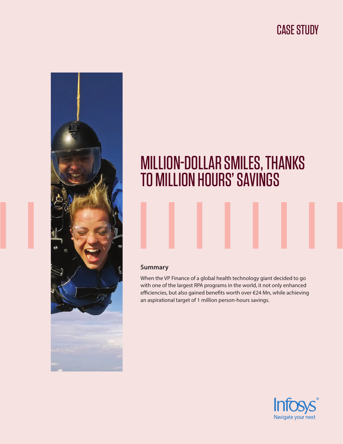# CASE STUDY



# MILLION-DOLLAR SMILES, THANKS TO MILLION HOURS' SAVINGS

#### **Summary**

When the VP Finance of a global health technology giant decided to go with one of the largest RPA programs in the world, it not only enhanced efficiencies, but also gained benefits worth over €24 Mn, while achieving an aspirational target of 1 million person-hours savings.

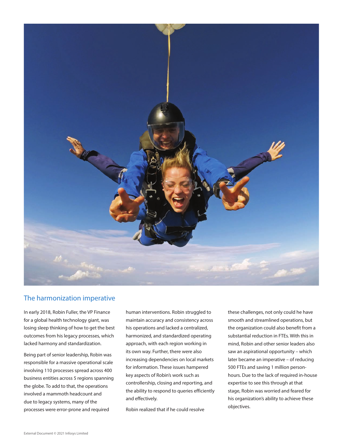

### The harmonization imperative

In early 2018, Robin Fuller, the VP Finance for a global health technology giant, was losing sleep thinking of how to get the best outcomes from his legacy processes, which lacked harmony and standardization.

Being part of senior leadership, Robin was responsible for a massive operational scale involving 110 processes spread across 400 business entities across 5 regions spanning the globe. To add to that, the operations involved a mammoth headcount and due to legacy systems, many of the processes were error-prone and required

human interventions. Robin struggled to maintain accuracy and consistency across his operations and lacked a centralized, harmonized, and standardized operating approach, with each region working in its own way. Further, there were also increasing dependencies on local markets for information. These issues hampered key aspects of Robin's work such as controllership, closing and reporting, and the ability to respond to queries efficiently and effectively.

Robin realized that if he could resolve

these challenges, not only could he have smooth and streamlined operations, but the organization could also benefit from a substantial reduction in FTEs. With this in mind, Robin and other senior leaders also saw an aspirational opportunity – which later became an imperative – of reducing 500 FTEs and saving 1 million personhours. Due to the lack of required in-house expertise to see this through at that stage, Robin was worried and feared for his organization's ability to achieve these objectives.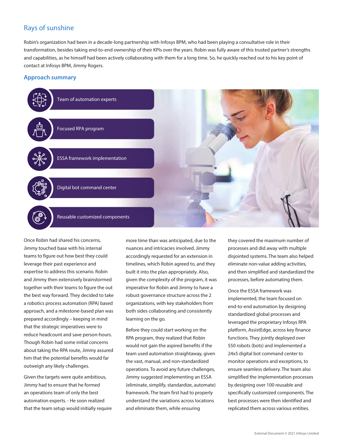# Rays of sunshine

Robin's organization had been in a decade-long partnership with Infosys BPM, who had been playing a consultative role in their transformation, besides taking end-to-end ownership of their KPIs over the years. Robin was fully aware of this trusted partner's strengths and capabilities, as he himself had been actively collaborating with them for a long time. So, he quickly reached out to his key point of contact at Infosys BPM, Jimmy Rogers.

#### **Approach summary**



Once Robin had shared his concerns, Jimmy touched base with his internal teams to figure out how best they could leverage their past experience and expertise to address this scenario. Robin and Jimmy then extensively brainstormed together with their teams to figure the out the best way forward. They decided to take a robotics process automation (RPA) based approach, and a milestone-based plan was prepared accordingly – keeping in mind that the strategic imperatives were to reduce headcount and save person-hours. Though Robin had some initial concerns about taking the RPA route, Jimmy assured him that the potential benefits would far outweigh any likely challenges.

Given the targets were quite ambitious, Jimmy had to ensure that he formed an operations team of only the best automation experts. - He soon realized that the team setup would initially require more time than was anticipated, due to the nuances and intricacies involved. Jimmy accordingly requested for an extension in timelines, which Robin agreed to, and they built it into the plan appropriately. Also, given the complexity of the program, it was imperative for Robin and Jimmy to have a robust governance structure across the 2 organizations, with key stakeholders from both sides collaborating and consistently learning on the go.

Before they could start working on the RPA program, they realized that Robin would not gain the aspired benefits if the team used automation straightaway, given the vast, manual, and non-standardized operations. To avoid any future challenges, Jimmy suggested implementing an ESSA (eliminate, simplify, standardize, automate) framework. The team first had to properly understand the variations across locations and eliminate them, while ensuring

they covered the maximum number of processes and did away with multiple disjointed systems. The team also helped eliminate non-value adding activities, and then simplified and standardized the processes, before automating them.

Once the ESSA framework was implemented, the team focused on end-to-end automation by designing standardized global processes and leveraged the proprietary Infosys RPA platform, AssistEdge, across key finance functions. They jointly deployed over 550 robots (bots) and implemented a 24x5 digital bot command center to monitor operations and exceptions, to ensure seamless delivery. The team also simplified the implementation processes by designing over 100 reusable and specifically customized components. The best processes were then identified and replicated them across various entities.